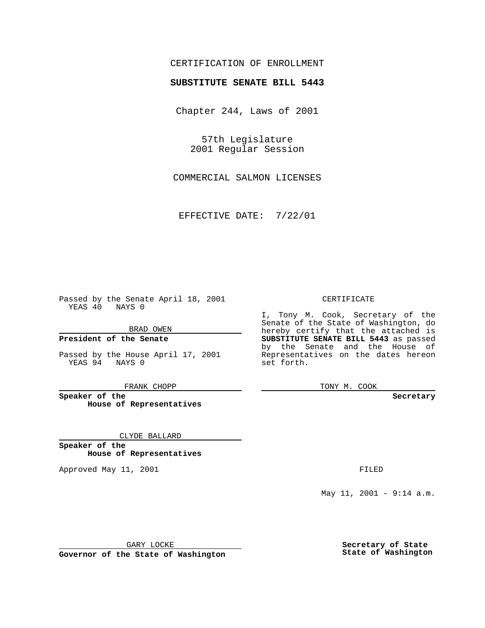## CERTIFICATION OF ENROLLMENT

# **SUBSTITUTE SENATE BILL 5443**

Chapter 244, Laws of 2001

57th Legislature 2001 Regular Session

COMMERCIAL SALMON LICENSES

EFFECTIVE DATE: 7/22/01

Passed by the Senate April 18, 2001 YEAS 40 NAYS 0

BRAD OWEN

**President of the Senate**

Passed by the House April 17, 2001 YEAS 94 NAYS 0

FRANK CHOPP

**Speaker of the House of Representatives**

CLYDE BALLARD

**Speaker of the House of Representatives**

Approved May 11, 2001 **FILED** 

#### CERTIFICATE

I, Tony M. Cook, Secretary of the Senate of the State of Washington, do hereby certify that the attached is **SUBSTITUTE SENATE BILL 5443** as passed by the Senate and the House of Representatives on the dates hereon set forth.

TONY M. COOK

#### **Secretary**

May 11, 2001 - 9:14 a.m.

GARY LOCKE

**Governor of the State of Washington**

**Secretary of State State of Washington**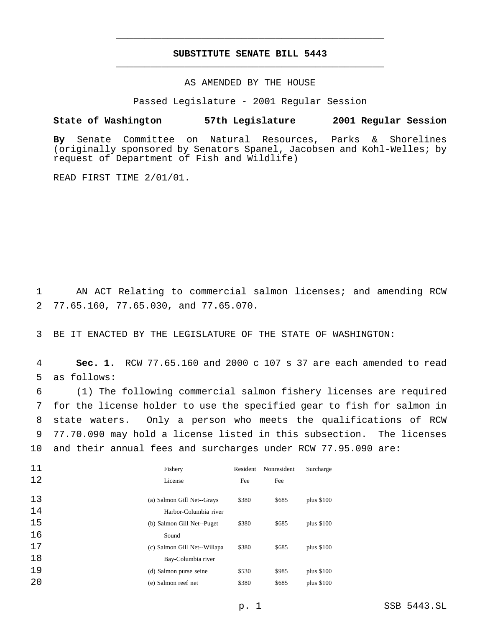# **SUBSTITUTE SENATE BILL 5443** \_\_\_\_\_\_\_\_\_\_\_\_\_\_\_\_\_\_\_\_\_\_\_\_\_\_\_\_\_\_\_\_\_\_\_\_\_\_\_\_\_\_\_\_\_\_\_

\_\_\_\_\_\_\_\_\_\_\_\_\_\_\_\_\_\_\_\_\_\_\_\_\_\_\_\_\_\_\_\_\_\_\_\_\_\_\_\_\_\_\_\_\_\_\_

## AS AMENDED BY THE HOUSE

Passed Legislature - 2001 Regular Session

#### **State of Washington 57th Legislature 2001 Regular Session**

**By** Senate Committee on Natural Resources, Parks & Shorelines (originally sponsored by Senators Spanel, Jacobsen and Kohl-Welles; by request of Department of Fish and Wildlife)

READ FIRST TIME 2/01/01.

 AN ACT Relating to commercial salmon licenses; and amending RCW 77.65.160, 77.65.030, and 77.65.070.

BE IT ENACTED BY THE LEGISLATURE OF THE STATE OF WASHINGTON:

 **Sec. 1.** RCW 77.65.160 and 2000 c 107 s 37 are each amended to read as follows:

 (1) The following commercial salmon fishery licenses are required for the license holder to use the specified gear to fish for salmon in state waters. Only a person who meets the qualifications of RCW 77.70.090 may hold a license listed in this subsection. The licenses and their annual fees and surcharges under RCW 77.95.090 are:

| 11 | Fishery                      | Resident | Nonresident | Surcharge  |
|----|------------------------------|----------|-------------|------------|
| 12 | License                      | Fee      | Fee         |            |
| 13 | (a) Salmon Gill Net--Grays   | \$380    | \$685       | plus \$100 |
| 14 | Harbor-Columbia river        |          |             |            |
| 15 | (b) Salmon Gill Net--Puget   | \$380    | \$685       | plus \$100 |
| 16 | Sound                        |          |             |            |
| 17 | (c) Salmon Gill Net--Willapa | \$380    | \$685       | plus \$100 |
| 18 | Bay-Columbia river           |          |             |            |
| 19 | (d) Salmon purse seine       | \$530    | \$985       | plus \$100 |
| 20 | (e) Salmon reef net          | \$380    | \$685       | plus \$100 |
|    |                              |          |             |            |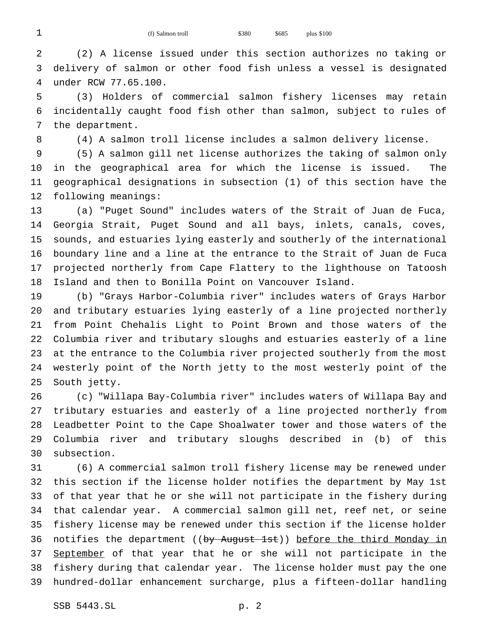1 (f) Salmon troll \$380 \$685 plus \$100

 (2) A license issued under this section authorizes no taking or delivery of salmon or other food fish unless a vessel is designated under RCW 77.65.100.

 (3) Holders of commercial salmon fishery licenses may retain incidentally caught food fish other than salmon, subject to rules of the department.

(4) A salmon troll license includes a salmon delivery license.

 (5) A salmon gill net license authorizes the taking of salmon only in the geographical area for which the license is issued. The geographical designations in subsection (1) of this section have the following meanings:

 (a) "Puget Sound" includes waters of the Strait of Juan de Fuca, Georgia Strait, Puget Sound and all bays, inlets, canals, coves, sounds, and estuaries lying easterly and southerly of the international boundary line and a line at the entrance to the Strait of Juan de Fuca projected northerly from Cape Flattery to the lighthouse on Tatoosh Island and then to Bonilla Point on Vancouver Island.

 (b) "Grays Harbor-Columbia river" includes waters of Grays Harbor and tributary estuaries lying easterly of a line projected northerly from Point Chehalis Light to Point Brown and those waters of the Columbia river and tributary sloughs and estuaries easterly of a line at the entrance to the Columbia river projected southerly from the most westerly point of the North jetty to the most westerly point of the South jetty.

 (c) "Willapa Bay-Columbia river" includes waters of Willapa Bay and tributary estuaries and easterly of a line projected northerly from Leadbetter Point to the Cape Shoalwater tower and those waters of the Columbia river and tributary sloughs described in (b) of this subsection.

 (6) A commercial salmon troll fishery license may be renewed under this section if the license holder notifies the department by May 1st of that year that he or she will not participate in the fishery during that calendar year. A commercial salmon gill net, reef net, or seine fishery license may be renewed under this section if the license holder 36 notifies the department ((by August 1st)) before the third Monday in 37 September of that year that he or she will not participate in the fishery during that calendar year. The license holder must pay the one hundred-dollar enhancement surcharge, plus a fifteen-dollar handling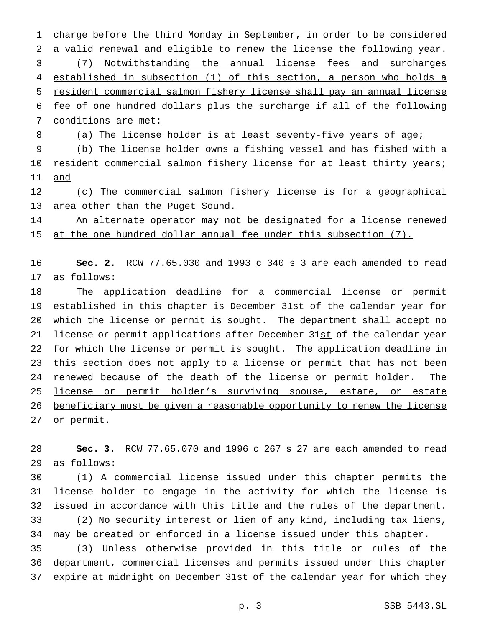1 charge before the third Monday in September, in order to be considered a valid renewal and eligible to renew the license the following year. (7) Notwithstanding the annual license fees and surcharges established in subsection (1) of this section, a person who holds a resident commercial salmon fishery license shall pay an annual license fee of one hundred dollars plus the surcharge if all of the following conditions are met: 8 (a) The license holder is at least seventy-five years of age;

 (b) The license holder owns a fishing vessel and has fished with a 10 resident commercial salmon fishery license for at least thirty years; and

12 (c) The commercial salmon fishery license is for a geographical area other than the Puget Sound.

14 An alternate operator may not be designated for a license renewed 15 at the one hundred dollar annual fee under this subsection (7).

 **Sec. 2.** RCW 77.65.030 and 1993 c 340 s 3 are each amended to read as follows:

 The application deadline for a commercial license or permit established in this chapter is December 31st of the calendar year for which the license or permit is sought. The department shall accept no 21 license or permit applications after December 31st of the calendar year 22 for which the license or permit is sought. The application deadline in 23 this section does not apply to a license or permit that has not been 24 renewed because of the death of the license or permit holder. The 25 license or permit holder's surviving spouse, estate, or estate beneficiary must be given a reasonable opportunity to renew the license or permit.

 **Sec. 3.** RCW 77.65.070 and 1996 c 267 s 27 are each amended to read as follows:

 (1) A commercial license issued under this chapter permits the license holder to engage in the activity for which the license is issued in accordance with this title and the rules of the department. (2) No security interest or lien of any kind, including tax liens, may be created or enforced in a license issued under this chapter.

 (3) Unless otherwise provided in this title or rules of the department, commercial licenses and permits issued under this chapter expire at midnight on December 31st of the calendar year for which they